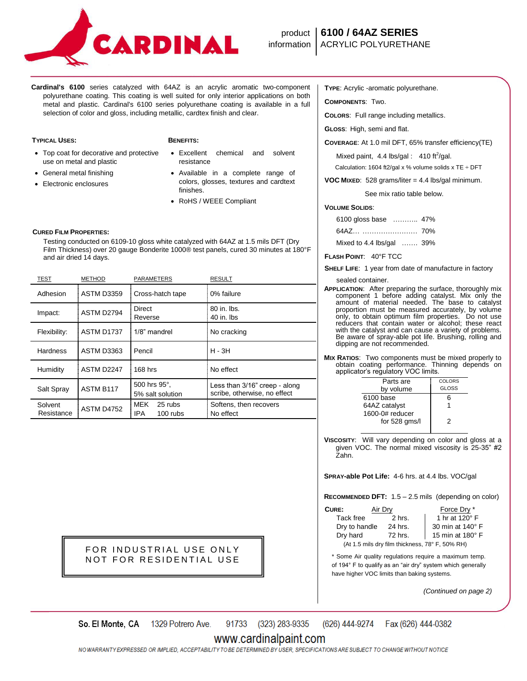

**Cardinal's 6100** series catalyzed with 64AZ is an acrylic aromatic two-component polyurethane coating. This coating is well suited for only interior applications on both metal and plastic. Cardinal's 6100 series polyurethane coating is available in a full selection of color and gloss, including metallic, cardtex finish and clear.

## **TYPICAL USES: BENEFITS:**

- Top coat for decorative and protective use on metal and plastic
- General metal finishing
- Electronic enclosures

- Excellent chemical and solvent resistance
- Available in a complete range of colors, glosses, textures and cardtext finishes.
- RoHS / WEEE Compliant

# **CURED FILM PROPERTIES:**

 Testing conducted on 6109-10 gloss white catalyzed with 64AZ at 1.5 mils DFT (Dry Film Thickness) over 20 gauge Bonderite 1000® test panels, cured 30 minutes at 180°F and air dried 14 days.

| TEST                  | <b>METHOD</b>     | PARAMETERS                           | <b>RESULT</b>                                                 |
|-----------------------|-------------------|--------------------------------------|---------------------------------------------------------------|
| Adhesion              | <b>ASTM D3359</b> | Cross-hatch tape                     | 0% failure                                                    |
| Impact:               | ASTM D2794        | Direct<br>Reverse                    | 80 in. lbs.<br>40 in. lbs                                     |
| Flexibility:          | ASTM D1737        | 1/8" mandrel                         | No cracking                                                   |
| <b>Hardness</b>       | ASTM D3363        | Pencil                               | $H - 3H$                                                      |
| Humidity              | ASTM D2247        | 168 hrs                              | No effect                                                     |
| Salt Spray            | ASTM B117         | 500 hrs 95°.<br>5% salt solution     | Less than 3/16" creep - along<br>scribe, otherwise, no effect |
| Solvent<br>Resistance | <b>ASTM D4752</b> | MEK<br>25 rubs<br>IPA.<br>$100$ rubs | Softens, then recovers<br>No effect                           |

FOR INDUSTRIAL USE ONLY NOT FOR RESIDENTIAL USE **TYPE**: Acrylic -aromatic polyurethane.

**COMPONENTS**: Two.

**COLORS**: Full range including metallics.

**GLOSS**: High, semi and flat.

**COVERAGE**: At 1.0 mil DFT, 65% transfer efficiency(TE)

Mixed paint,  $4.4$  lbs/gal :  $410$  ft<sup>2</sup>/gal.

Calculation: 1604 ft2/gal x % volume solids x TE  $\div$  DFT

**VOC MIXED**: 528 grams/liter = 4.4 lbs/gal minimum.

See mix ratio table below.

## **VOLUME SOLIDS**:

| 6100 gloss base  47%              |  |
|-----------------------------------|--|
|                                   |  |
| Mixed to 4.4 lbs/gal $\ldots$ 39% |  |

**FLASH POINT**: 40°F TCC

**SHELF LIFE**: 1 year from date of manufacture in factory

sealed container.

- **APPLICATION**: After preparing the surface, thoroughly mix component 1 before adding catalyst. Mix only the amount of material needed. The base to catalyst proportion must be measured accurately, by volume only, to obtain optimum film properties. Do not use reducers that contain water or alcohol; these react with the catalyst and can cause a variety of problems. Be aware of spray-able pot life. Brushing, rolling and dipping are not recommended.
- **MIX RATIOS**: Two components must be mixed properly to obtain coating performance. Thinning depends on applicator's regulatory VOC limits.

| Parts are       | COLORS       |
|-----------------|--------------|
| by volume       | <b>GLOSS</b> |
| 6100 base       | 6            |
| 64AZ catalyst   |              |
| 1600-0# reducer |              |
| for 528 gms/l   | 2            |
|                 |              |

**VISCOSITY**: Will vary depending on color and gloss at a given VOC. The normal mixed viscosity is 25-35" #2 Zahn.

**SPRAY-able Pot Life:** 4-6 hrs. at 4.4 lbs. VOC/gal

**RECOMMENDED DFT:** 1.5 – 2.5 mils (depending on color)

| CURE:                                           | Air Dry | Force Dry *      |  |
|-------------------------------------------------|---------|------------------|--|
| Tack free                                       | 2 hrs.  | 1 hr at 120° F   |  |
| Dry to handle                                   | 24 hrs. | 30 min at 140° F |  |
| Dry hard                                        | 72 hrs. | 15 min at 180° F |  |
| (At 1.5 mils dry film thickness, 78° F, 50% RH) |         |                  |  |

\* Some Air quality regulations require a maximum temp. of 194° F to qualify as an "air dry" system which generally have higher VOC limits than baking systems.

*(Continued on page 2)*

91733 (323) 283-9335 So. El Monte, CA 1329 Potrero Ave. (626) 444-9274 Fax (626) 444-0382

## www.cardinalpaint.com

NO WARRANTY EXPRESSED OR IMPLIED. ACCEPTABILITY TO BE DETERMINED BY USER. SPECIFICATIONS ARE SUBJECT TO CHANGE WITHOUT NOTICE